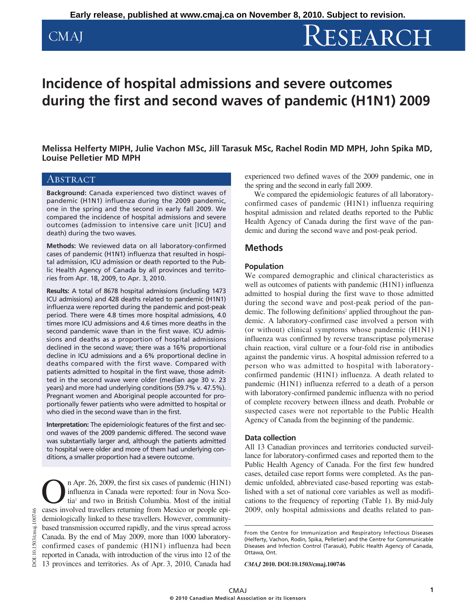# CMAJ RESEARCH

## **Incidence of hospital admissions and severe outcomes during the first and second waves of pandemic (H1N1) 2009**

**Melissa Helferty MIPH, Julie Vachon MSc, Jill Tarasuk MSc, Rachel Rodin MD MPH, John Spika MD, Louise Pelletier MD MPH**

### **ABSTRACT**

**Background:** Canada experienced two distinct waves of pandemic (H1N1) influenza during the 2009 pandemic, one in the spring and the second in early fall 2009. We compared the incidence of hospital admissions and severe outcomes (admission to intensive care unit [ICU] and death) during the two waves.

**Methods:** We reviewed data on all laboratory-confirmed cases of pandemic (H1N1) influenza that resulted in hospital admission, ICU admission or death reported to the Public Health Agency of Canada by all provinces and territories from Apr. 18, 2009, to Apr. 3, 2010.

**Results:** A total of 8678 hospital admissions (including 1473 ICU admissions) and 428 deaths related to pandemic (H1N1) influenza were reported during the pandemic and post-peak period. There were 4.8 times more hospital admissions, 4.0 times more ICU admissions and 4.6 times more deaths in the second pandemic wave than in the first wave. ICU admissions and deaths as a proportion of hospital admissions declined in the second wave; there was a 16% proportional decline in ICU admissions and a 6% proportional decline in deaths compared with the first wave. Compared with patients admitted to hospital in the first wave, those admitted in the second wave were older (median age 30 v. 23 years) and more had underlying conditions (59.7% v. 47.5%). Pregnant women and Aboriginal people accounted for proportionally fewer patients who were admitted to hospital or who died in the second wave than in the first.

**Interpretation:** The epidemiologic features of the first and second waves of the 2009 pandemic differed. The second wave was substantially larger and, although the patients admitted to hospital were older and more of them had underlying conditions, a smaller proportion had a severe outcome.

n Apr. 26, 2009, the first six cases of pandemic (H1N1) influenza in Canada were reported: four in Nova Scotia<sup>1</sup> and two in British Columbia. Most of the initial cases involved travellers returning from Mexico or people epidemiologically linked to these travellers. However, communitybased transmission occurred rapidly, and the virus spread across Canada. By the end of May 2009, more than 1000 laboratoryconfirmed cases of pandemic (H1N1) influenza had been reported in Canada, with introduction of the virus into 12 of the 13 provinces and territories. As of Apr. 3, 2010, Canada had

experienced two defined waves of the 2009 pandemic, one in the spring and the second in early fall 2009.

We compared the epidemiologic features of all laboratoryconfirmed cases of pandemic (H1N1) influenza requiring hospital admission and related deaths reported to the Public Health Agency of Canada during the first wave of the pandemic and during the second wave and post-peak period.

### **Methods**

#### **Population**

We compared demographic and clinical characteristics as well as outcomes of patients with pandemic (H1N1) influenza admitted to hospial during the first wave to those admitted during the second wave and post-peak period of the pandemic. The following definitions<sup>2</sup> applied throughout the pandemic. A laboratory-confirmed case involved a person with (or without) clinical symptoms whose pandemic (H1N1) influenza was confirmed by reverse transcriptase polymerase chain reaction, viral culture or a four-fold rise in antibodies against the pandemic virus. A hospital admission referred to a person who was admitted to hospital with laboratory confirmed pandemic (H1N1) influenza. A death related to pandemic (H1N1) influenza referred to a death of a person with laboratory-confirmed pandemic influenza with no period of complete recovery between illness and death. Probable or suspected cases were not reportable to the Public Health Agency of Canada from the beginning of the pandemic.

#### **Data collection**

All 13 Canadian provinces and territories conducted surveillance for laboratory-confirmed cases and reported them to the Public Health Agency of Canada. For the first few hundred cases, detailed case report forms were completed. As the pandemic unfolded, abbreviated case-based reporting was established with a set of national core variables as well as modifications to the frequency of reporting (Table 1). By mid-July 2009, only hospital admissions and deaths related to pan-

*CMAJ* **2010. DOI:10.1503/cmaj.100746**

From the Centre for Immunization and Respiratory Infectious Diseases (Helferty, Vachon, Rodin, Spika, Pelletier) and the Centre for Communicable Diseases and Infection Control (Tarasuk), Public Health Agency of Canada, Ottawa, Ont.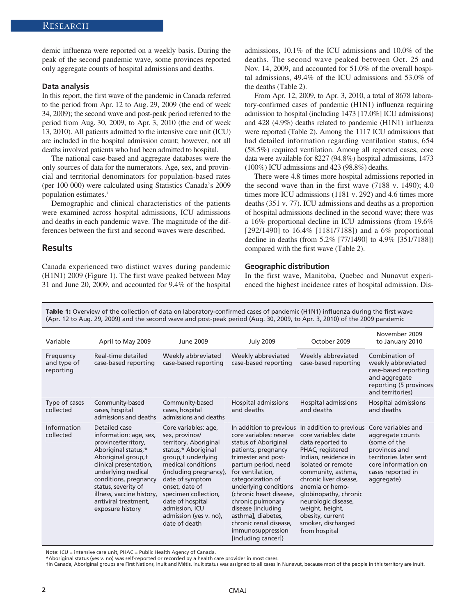demic influenza were reported on a weekly basis. During the peak of the second pandemic wave, some provinces reported only aggregate counts of hospital admissions and deaths.

#### **Data analysis**

In this report, the first wave of the pandemic in Canada referred to the period from Apr. 12 to Aug. 29, 2009 (the end of week 34, 2009); the second wave and post-peak period referred to the period from Aug. 30, 2009, to Apr. 3, 2010 (the end of week 13, 2010). All patients admitted to the intensive care unit (ICU) are included in the hospital admission count; however, not all deaths involved patients who had been admitted to hospital.

The national case-based and aggregate databases were the only sources of data for the numerators. Age, sex, and provincial and territorial denominators for population-based rates (per 100 000) were calculated using Statistics Canada's 2009 population estimates.3

Demographic and clinical characteristics of the patients were examined across hospital admissions, ICU admissions and deaths in each pandemic wave. The magnitude of the differences between the first and second waves were described.

#### **Results**

Canada experienced two distinct waves during pandemic (H1N1) 2009 (Figure 1). The first wave peaked between May 31 and June 20, 2009, and accounted for 9.4% of the hospital admissions, 10.1% of the ICU admissions and 10.0% of the deaths. The second wave peaked between Oct. 25 and Nov. 14, 2009, and accounted for 51.0% of the overall hospital admissions, 49.4% of the ICU admissions and 53.0% of the deaths (Table 2).

From Apr. 12, 2009, to Apr. 3, 2010, a total of 8678 laboratory-confirmed cases of pandemic (H1N1) influenza requiring admission to hospital (including 1473 [17.0%] ICU admissions) and 428 (4.9%) deaths related to pandemic (H1N1) influenza were reported (Table 2). Among the 1117 ICU admissions that had detailed information regarding ventilation status, 654 (58.5%) required ventilation. Among all reported cases, core data were available for 8227 (94.8%) hospital admissions, 1473 (100%) ICU admissions and 423 (98.8%) deaths.

There were 4.8 times more hospital admissions reported in the second wave than in the first wave (7188 v. 1490); 4.0 times more ICU admissions (1181 v. 292) and 4.6 times more deaths (351 v. 77). ICU admissions and deaths as a proportion of hospital admissions declined in the second wave; there was a 16% proportional decline in ICU admissions (from 19.6% [292/1490] to 16.4% [1181/7188]) and a 6% proportional decline in deaths (from 5.2% [77/1490] to 4.9% [351/7188]) compared with the first wave (Table 2).

#### **Geographic distribution**

In the first wave, Manitoba, Quebec and Nunavut experienced the highest incidence rates of hospital admission. Dis-

**Table 1:** Overview of the collection of data on laboratory-confirmed cases of pandemic (H1N1) influenza during the first wave (Apr. 12 to Aug. 29, 2009) and the second wave and post-peak period (Aug. 30, 2009, to Apr. 3, 2010) of the 2009 pandemic

| Variable                              | April to May 2009                                                                                                                                                                                                                                                                     | June 2009                                                                                                                                                                                                                                                                                                   | <b>July 2009</b>                                                                                                                                                                                                                                                                                                                                                                     | October 2009                                                                                                                                                                                                                                                                                                                           | November 2009<br>to January 2010                                                                                                                            |
|---------------------------------------|---------------------------------------------------------------------------------------------------------------------------------------------------------------------------------------------------------------------------------------------------------------------------------------|-------------------------------------------------------------------------------------------------------------------------------------------------------------------------------------------------------------------------------------------------------------------------------------------------------------|--------------------------------------------------------------------------------------------------------------------------------------------------------------------------------------------------------------------------------------------------------------------------------------------------------------------------------------------------------------------------------------|----------------------------------------------------------------------------------------------------------------------------------------------------------------------------------------------------------------------------------------------------------------------------------------------------------------------------------------|-------------------------------------------------------------------------------------------------------------------------------------------------------------|
| Frequency<br>and type of<br>reporting | Real-time detailed<br>case-based reporting                                                                                                                                                                                                                                            | Weekly abbreviated<br>case-based reporting                                                                                                                                                                                                                                                                  | Weekly abbreviated<br>case-based reporting                                                                                                                                                                                                                                                                                                                                           | Weekly abbreviated<br>case-based reporting                                                                                                                                                                                                                                                                                             | Combination of<br>weekly abbreviated<br>case-based reporting<br>and aggregate<br>reporting (5 provinces<br>and territories)                                 |
| Type of cases<br>collected            | Community-based<br>cases, hospital<br>admissions and deaths                                                                                                                                                                                                                           | Community-based<br>cases, hospital<br>admissions and deaths                                                                                                                                                                                                                                                 | Hospital admissions<br>and deaths                                                                                                                                                                                                                                                                                                                                                    | Hospital admissions<br>and deaths                                                                                                                                                                                                                                                                                                      | Hospital admissions<br>and deaths                                                                                                                           |
| Information<br>collected              | Detailed case<br>information: age, sex,<br>province/territory,<br>Aboriginal status,*<br>Aboriginal group, t<br>clinical presentation,<br>underlying medical<br>conditions, pregnancy<br>status, severity of<br>illness, vaccine history,<br>antiviral treatment.<br>exposure history | Core variables: age,<br>sex, province/<br>territory, Aboriginal<br>status,* Aboriginal<br>group, t underlying<br>medical conditions<br>(including pregnancy),<br>date of symptom<br>onset, date of<br>specimen collection,<br>date of hospital<br>admission, ICU<br>admission (yes v. no),<br>date of death | In addition to previous<br>core variables: reserve<br>status of Aboriginal<br>patients, pregnancy<br>trimester and post-<br>partum period, need<br>for ventilation,<br>categorization of<br>underlying conditions<br>(chronic heart disease,<br>chronic pulmonary<br>disease [including]<br>asthma], diabetes,<br>chronic renal disease,<br>immunosuppression<br>[including cancer]) | In addition to previous<br>core variables: date<br>data reported to<br>PHAC, registered<br>Indian, residence in<br>isolated or remote<br>community, asthma,<br>chronic liver disease,<br>anemia or hemo-<br>globinopathy, chronic<br>neurologic disease,<br>weight, height,<br>obesity, current<br>smoker, discharged<br>from hospital | Core variables and<br>aggregate counts<br>(some of the<br>provinces and<br>territories later sent<br>core information on<br>cases reported in<br>aggregate) |

Note: ICU = intensive care unit, PHAC = Public Health Agency of Canada.

\*Aboriginal status (yes v. no) was self-reported or recorded by a health care provider in most cases.

†In Canada, Aboriginal groups are First Nations, Inuit and Métis. Inuit status was assigned to all cases in Nunavut, because most of the people in this territory are Inuit.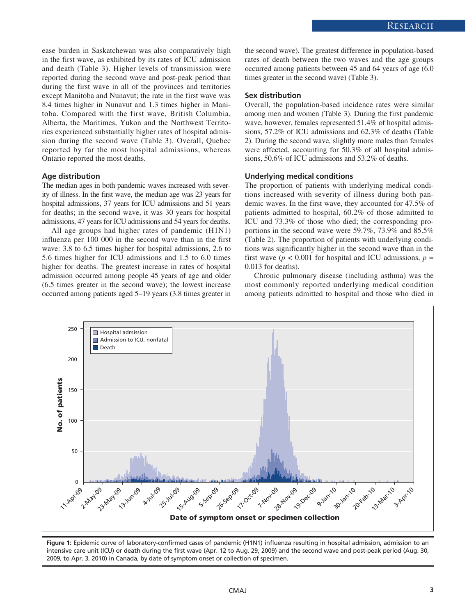ease burden in Saskatchewan was also comparatively high in the first wave, as exhibited by its rates of ICU admission and death (Table 3). Higher levels of transmission were reported during the second wave and post-peak period than during the first wave in all of the provinces and territories except Manitoba and Nunavut; the rate in the first wave was 8.4 times higher in Nunavut and 1.3 times higher in Manitoba. Compared with the first wave, British Columbia, Alberta, the Maritimes, Yukon and the Northwest Territories experienced substantially higher rates of hospital admission during the second wave (Table 3). Overall, Quebec reported by far the most hospital admissions, whereas Ontario reported the most deaths.

#### **Age distribution**

The median ages in both pandemic waves increased with severity of illness. In the first wave, the median age was 23 years for hospital admissions, 37 years for ICU admissions and 51 years for deaths; in the second wave, it was 30 years for hospital admissions, 47 years for ICU admissions and 54 years for deaths.

All age groups had higher rates of pandemic (H1N1) influenza per 100 000 in the second wave than in the first wave: 3.8 to 6.5 times higher for hospital admissions, 2.6 to 5.6 times higher for ICU admissions and 1.5 to 6.0 times higher for deaths. The greatest increase in rates of hospital admission occurred among people 45 years of age and older (6.5 times greater in the second wave); the lowest increase occurred among patients aged 5–19 years (3.8 times greater in the second wave). The greatest difference in population-based rates of death between the two waves and the age groups occurred among patients between 45 and 64 years of age (6.0 times greater in the second wave) (Table 3).

#### **Sex distribution**

Overall, the population-based incidence rates were similar among men and women (Table 3). During the first pandemic wave, however, females represented 51.4% of hospital admissions, 57.2% of ICU admissions and 62.3% of deaths (Table 2). During the second wave, slightly more males than females were affected, accounting for 50.3% of all hospital admissions, 50.6% of ICU admissions and 53.2% of deaths.

#### **Underlying medical conditions**

The proportion of patients with underlying medical conditions increased with severity of illness during both pandemic waves. In the first wave, they accounted for 47.5% of patients admitted to hospital, 60.2% of those admitted to ICU and 73.3% of those who died; the corresponding proportions in the second wave were 59.7%, 73.9% and 85.5% (Table 2). The proportion of patients with underlying conditions was significantly higher in the second wave than in the first wave ( $p < 0.001$  for hospital and ICU admissions,  $p =$ 0.013 for deaths).

Chronic pulmonary disease (including asthma) was the most commonly reported underlying medical condition among patients admitted to hospital and those who died in



**Figure 1:** Epidemic curve of laboratory-confirmed cases of pandemic (H1N1) influenza resulting in hospital admission, admission to an intensive care unit (ICU) or death during the first wave (Apr. 12 to Aug. 29, 2009) and the second wave and post-peak period (Aug. 30, 2009, to Apr. 3, 2010) in Canada, by date of symptom onset or collection of specimen.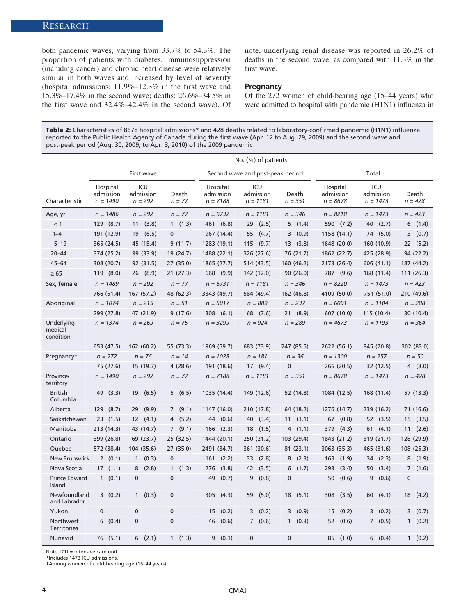both pandemic waves, varying from 33.7% to 54.3%. The proportion of patients with diabetes, immunosuppression (including cancer) and chronic heart disease were relatively similar in both waves and increased by level of severity (hospital admissions: 11.9%–12.3% in the first wave and 15.3%–17.4% in the second wave; deaths: 26.6%–34.5% in the first wave and 32.4%–42.4% in the second wave). Of note, underlying renal disease was reported in 26.2% of deaths in the second wave, as compared with 11.3% in the first wave.

#### **Pregnancy**

Of the 272 women of child-bearing age (15–44 years) who were admitted to hospital with pandemic (H1N1) influenza in

**Table 2:** Characteristics of 8678 hospital admissions\* and 428 deaths related to laboratory-confirmed pandemic (H1N1) influenza reported to the Public Health Agency of Canada during the first wave (Apr. 12 to Aug. 29, 2009) and the second wave and post-peak period (Aug. 30, 2009, to Apr. 3, 2010) of the 2009 pandemic

|                                    |                                     |                               |                       | No. (%) of patients                 |                                |                    |                                     |                                |                         |  |
|------------------------------------|-------------------------------------|-------------------------------|-----------------------|-------------------------------------|--------------------------------|--------------------|-------------------------------------|--------------------------------|-------------------------|--|
|                                    | First wave                          |                               |                       | Second wave and post-peak period    |                                |                    | Total                               |                                |                         |  |
| Characteristic                     | Hospital<br>admission<br>$n = 1490$ | ICU<br>admission<br>$n = 292$ | Death<br>$n = 77$     | Hospital<br>admission<br>$n = 7188$ | ICU<br>admission<br>$n = 1181$ | Death<br>$n = 351$ | Hospital<br>admission<br>$n = 8678$ | ICU<br>admission<br>$n = 1473$ | Death<br>$n = 428$      |  |
| Age, yr                            | $n = 1486$                          | $n = 292$                     | $n = 77$              | $n = 6732$                          | $n = 1181$                     | $n = 346$          | $n = 8218$                          | $n = 1473$                     | $n = 423$               |  |
| < 1                                | 129 (8.7)                           | 11(3.8)                       | 1(1.3)                | 461 (6.8)                           | (2.5)<br>29                    | 5(1.4)             | 590 (7.2)                           | (2.7)<br>40                    | 6(1.4)                  |  |
| $1 - 4$                            | 191 (12.9)                          | 19<br>(6.5)                   | $\mathbf 0$           | 967 (14.4)                          | 55<br>(4.7)                    | (0.9)<br>3         | 1158 (14.1)                         | 74 (5.0)                       | $\overline{3}$<br>(0.7) |  |
| $5 - 19$                           | 365 (24.5)                          | 45 (15.4)                     | 9(11.7)               | 1283 (19.1)                         | 115(9.7)                       | 13(3.8)            | 1648 (20.0)                         | 160 (10.9)                     | 22(5.2)                 |  |
| $20 - 44$                          | 374 (25.2)                          | 99 (33.9)                     | 19 (24.7)             | 1488 (22.1)                         | 326 (27.6)                     | 76 (21.7)          | 1862 (22.7)                         | 425 (28.9)                     | 94 (22.2)               |  |
| $45 - 64$                          | 308 (20.7)                          | 92 (31.5)                     | 27 (35.0)             | 1865 (27.7)                         | 514 (43.5)                     | 160 (46.2)         | 2173 (26.4)                         | 606 (41.1)                     | 187 (44.2)              |  |
| $\geq 65$                          | 119(8.0)                            | 26 (8.9)                      | 21(27.3)              | 668 (9.9)                           | 142 (12.0)                     | 90(26.0)           | 787 (9.6)                           | 168 (11.4)                     | 111 (26.3)              |  |
| Sex, female                        | $n = 1489$                          | $n = 292$                     | $n = 77$              | $n = 6731$                          | $n = 1181$                     | $n = 346$          | $n = 8220$                          | $n = 1473$                     | $n = 423$               |  |
|                                    | 766 (51.4)                          | 167 (57.2)                    | 48 (62.3)             | 3343 (49.7)                         | 584 (49.4)                     | 162 (46.8)         | 4109 (50.0)                         | 751 (51.0)                     | 210 (49.6)              |  |
| Aboriginal                         | $n = 1074$                          | $n = 215$                     | $n = 51$              | $n = 5017$                          | $n = 889$                      | $n = 237$          | $n = 6091$                          | $n = 1104$                     | $n = 288$               |  |
|                                    | 299 (27.8)                          | 47 (21.9)                     | 9(17.6)               | 308(6.1)                            | 68 (7.6)                       | 21(8.9)            | 607 (10.0)                          | 115 (10.4)                     | 30 (10.4)               |  |
| Underlying<br>medical<br>condition | $n = 1374$                          | $n = 269$                     | $n = 75$              | $n = 3299$                          | $n = 924$                      | $n = 289$          | $n = 4673$                          | $n = 1193$                     | $n = 364$               |  |
|                                    | 653 (47.5)                          | 162 (60.2)                    | 55 (73.3)             | 1969 (59.7)                         | 683 (73.9)                     | 247 (85.5)         | 2622 (56.1)                         | 845 (70.8)                     | 302 (83.0)              |  |
| Pregnancyt                         | $n = 272$                           | $n = 76$                      | $n = 14$              | $n = 1028$                          | $n = 181$                      | $n = 36$           | $n = 1300$                          | $n = 257$                      | $n = 50$                |  |
|                                    | 75 (27.6)                           | 15 (19.7)                     | 4(28.6)               | 191 (18.6)                          | 17(9.4)                        | $\mathbf{0}$       | 266 (20.5)                          | 32 (12.5)                      | 4(8.0)                  |  |
| Province/<br>territory             | $n = 1490$                          | $n = 292$                     | $n = 77$              | $n = 7188$                          | $n = 1181$                     | $n = 351$          | $n = 8678$                          | $n = 1473$                     | $n = 428$               |  |
| <b>British</b><br>Columbia         | 49 (3.3)                            | 19 (6.5)                      | 5(6.5)                | 1035 (14.4)                         | 149 (12.6)                     | 52 (14.8)          | 1084 (12.5)                         | 168 (11.4)                     | 57 (13.3)               |  |
| Alberta                            | (8.7)<br>129                        | (9.9)<br>29                   | 7(9.1)                | 1147 (16.0)                         | 210 (17.8)                     | 64 (18.2)          | 1276 (14.7)                         | 239 (16.2)                     | 71 (16.6)               |  |
| Saskatchewan                       | 23(1.5)                             | 12(4.1)                       | 4(5.2)                | 44<br>(0.6)                         | 40<br>(3.4)                    | 11(3.1)            | 67 (0.8)                            | 52(3.5)                        | 15(3.5)                 |  |
| Manitoba                           | 213 (14.3)                          | 43 (14.7)                     | 7(9.1)                | 166<br>(2.3)                        | 18<br>(1.5)                    | 4(1.1)             | 379<br>(4.3)                        | 61<br>(4.1)                    | (2.6)<br>11             |  |
| Ontario                            | 399 (26.8)                          | 69 (23.7)                     | 25 (32.5)             | 1444 (20.1)                         | 250 (21.2)                     | 103 (29.4)         | 1843 (21.2)                         | 319 (21.7)                     | 128 (29.9)              |  |
| Quebec                             | 572 (38.4)                          | 104 (35.6)                    | 27 (35.0)             | 2491 (34.7)                         | 361 (30.6)                     | 81(23.1)           | 3063 (35.3)                         | 465 (31.6)                     | 108 (25.3)              |  |
| New Brunswick                      | 2(0.1)                              | 1(0.3)                        | $\mathbf 0$           | 161<br>(2.2)                        | 33(2.8)                        | (2.3)<br>8         | $163$ $(1.9)$                       | 34<br>(2.3)                    | 8(1.9)                  |  |
| Nova Scotia                        | 17(1.1)                             | 8<br>(2.8)                    | (1.3)<br>$\mathbf{1}$ | 276<br>(3.8)                        | 42<br>(3.5)                    | 6<br>(1.7)         | 293<br>(3.4)                        | 50<br>(3.4)                    | $\overline{7}$<br>(1.6) |  |
| Prince Edward<br>Island            | $\mathbf{1}$<br>(0.1)               | $\mathbf 0$                   | $\mathbf 0$           | (0.7)<br>49                         | 9<br>(0.8)                     | 0                  | 50<br>(0.6)                         | (0.6)<br>9                     | $\pmb{0}$               |  |
| Newfoundland<br>and Labrador       | 3(0.2)                              | 1(0.3)                        | $\mathbf 0$           | 305<br>(4.3)                        | 59<br>(5.0)                    | 18<br>(5.1)        | 308<br>(3.5)                        | 60<br>(4.1)                    | 18<br>(4.2)             |  |
| Yukon                              | $\mathbf{0}$                        | 0                             | 0                     | (0.2)<br>15                         | 3(0.2)                         | (0.9)<br>3         | 15<br>(0.2)                         | (0.2)<br>3                     | (0.7)<br>3              |  |
| Northwest<br><b>Territories</b>    | (0.4)<br>6                          | $\mathbf 0$                   | $\mathbf 0$           | 46<br>(0.6)                         | $\overline{7}$<br>(0.6)        | 1<br>(0.3)         | 52<br>(0.6)                         | $\overline{7}$<br>(0.5)        | (0.2)<br>$\mathbf{1}$   |  |
| Nunavut                            | 76 (5.1)                            | 6(2.1)                        | 1(1.3)                | 9<br>(0.1)                          | 0                              | $\mathbf{0}$       | 85<br>(1.0)                         | 6(0.4)                         | 1(0.2)                  |  |

Note: ICU = intensive care unit.

\*Includes 1473 ICU admissions.

†Among women of child-bearing age (15–44 years).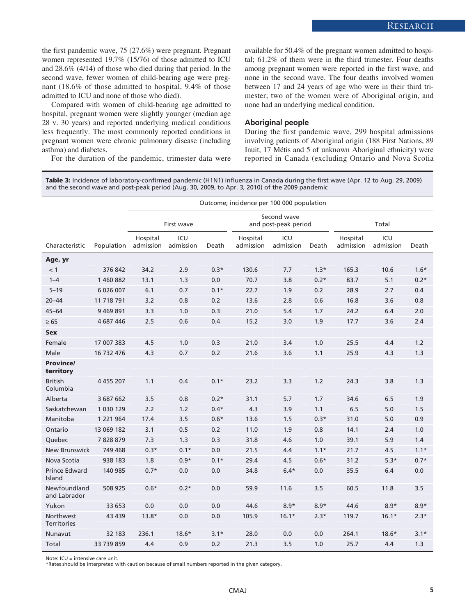the first pandemic wave, 75 (27.6%) were pregnant. Pregnant women represented 19.7% (15/76) of those admitted to ICU and 28.6% (4/14) of those who died during that period. In the second wave, fewer women of child-bearing age were pregnant (18.6% of those admitted to hospital, 9.4% of those admitted to ICU and none of those who died).

Compared with women of child-bearing age admitted to hospital, pregnant women were slightly younger (median age 28 v. 30 years) and reported underlying medical conditions less frequently. The most commonly reported conditions in pregnant women were chronic pulmonary disease (including asthma) and diabetes.

For the duration of the pandemic, trimester data were

available for 50.4% of the pregnant women admitted to hospital; 61.2% of them were in the third trimester. Four deaths among pregnant women were reported in the first wave, and none in the second wave. The four deaths involved women between 17 and 24 years of age who were in their third trimester; two of the women were of Aboriginal origin, and none had an underlying medical condition.

#### **Aboriginal people**

During the first pandemic wave, 299 hospital admissions involving patients of Aboriginal origin (188 First Nations, 89 Inuit, 17 Métis and 5 of unknown Aboriginal ethnicity) were reported in Canada (excluding Ontario and Nova Scotia

**Table 3:** Incidence of laboratory-confirmed pandemic (H1N1) influenza in Canada during the first wave (Apr. 12 to Aug. 29, 2009) and the second wave and post-peak period (Aug. 30, 2009, to Apr. 3, 2010) of the 2009 pandemic

|                                 |               | Outcome; incidence per 100 000 population |                  |        |                                     |                  |        |                       |                  |        |
|---------------------------------|---------------|-------------------------------------------|------------------|--------|-------------------------------------|------------------|--------|-----------------------|------------------|--------|
|                                 |               | First wave                                |                  |        | Second wave<br>and post-peak period |                  |        | Total                 |                  |        |
| Characteristic                  | Population    | Hospital<br>admission                     | ICU<br>admission | Death  | Hospital<br>admission               | ICU<br>admission | Death  | Hospital<br>admission | ICU<br>admission | Death  |
| Age, yr                         |               |                                           |                  |        |                                     |                  |        |                       |                  |        |
| < 1                             | 376 842       | 34.2                                      | 2.9              | $0.3*$ | 130.6                               | 7.7              | $1.3*$ | 165.3                 | 10.6             | $1.6*$ |
| $1 - 4$                         | 1 460 882     | 13.1                                      | 1.3              | 0.0    | 70.7                                | 3.8              | $0.2*$ | 83.7                  | 5.1              | $0.2*$ |
| $5 - 19$                        | 6 026 007     | 6.1                                       | 0.7              | $0.1*$ | 22.7                                | 1.9              | 0.2    | 28.9                  | 2.7              | 0.4    |
| $20 - 44$                       | 11 718 791    | 3.2                                       | 0.8              | 0.2    | 13.6                                | 2.8              | 0.6    | 16.8                  | 3.6              | 0.8    |
| $45 - 64$                       | 9 469 891     | 3.3                                       | 1.0              | 0.3    | 21.0                                | 5.4              | 1.7    | 24.2                  | 6.4              | 2.0    |
| $\geq 65$                       | 4 687 446     | 2.5                                       | 0.6              | 0.4    | 15.2                                | 3.0              | 1.9    | 17.7                  | 3.6              | 2.4    |
| <b>Sex</b>                      |               |                                           |                  |        |                                     |                  |        |                       |                  |        |
| Female                          | 17 007 383    | 4.5                                       | 1.0              | 0.3    | 21.0                                | 3.4              | 1.0    | 25.5                  | 4.4              | 1.2    |
| Male                            | 16 732 476    | 4.3                                       | 0.7              | 0.2    | 21.6                                | 3.6              | 1.1    | 25.9                  | 4.3              | 1.3    |
| <b>Province/</b><br>territory   |               |                                           |                  |        |                                     |                  |        |                       |                  |        |
| <b>British</b><br>Columbia      | 4 4 5 5 20 7  | 1.1                                       | 0.4              | $0.1*$ | 23.2                                | 3.3              | 1.2    | 24.3                  | 3.8              | 1.3    |
| Alberta                         | 3 687 662     | 3.5                                       | 0.8              | $0.2*$ | 31.1                                | 5.7              | 1.7    | 34.6                  | 6.5              | 1.9    |
| Saskatchewan                    | 1 030 129     | 2.2                                       | 1.2              | $0.4*$ | 4.3                                 | 3.9              | 1.1    | 6.5                   | 5.0              | 1.5    |
| Manitoba                        | 1 2 2 1 9 6 4 | 17.4                                      | 3.5              | $0.6*$ | 13.6                                | 1.5              | $0.3*$ | 31.0                  | 5.0              | 0.9    |
| Ontario                         | 13 069 182    | 3.1                                       | 0.5              | 0.2    | 11.0                                | 1.9              | 0.8    | 14.1                  | 2.4              | 1.0    |
| Quebec                          | 7828879       | 7.3                                       | 1.3              | 0.3    | 31.8                                | 4.6              | 1.0    | 39.1                  | 5.9              | 1.4    |
| <b>New Brunswick</b>            | 749 468       | $0.3*$                                    | $0.1*$           | 0.0    | 21.5                                | 4.4              | $1.1*$ | 21.7                  | 4.5              | $1.1*$ |
| Nova Scotia                     | 938 183       | 1.8                                       | $0.9*$           | $0.1*$ | 29.4                                | 4.5              | $0.6*$ | 31.2                  | $5.3*$           | $0.7*$ |
| Prince Edward<br>Island         | 140 985       | $0.7*$                                    | 0.0              | 0.0    | 34.8                                | $6.4*$           | 0.0    | 35.5                  | 6.4              | 0.0    |
| Newfoundland<br>and Labrador    | 508 925       | $0.6*$                                    | $0.2*$           | 0.0    | 59.9                                | 11.6             | 3.5    | 60.5                  | 11.8             | 3.5    |
| Yukon                           | 33 653        | 0.0                                       | 0.0              | 0.0    | 44.6                                | $8.9*$           | $8.9*$ | 44.6                  | $8.9*$           | $8.9*$ |
| Northwest<br><b>Territories</b> | 43 439        | $13.8*$                                   | 0.0              | 0.0    | 105.9                               | $16.1*$          | $2.3*$ | 119.7                 | $16.1*$          | $2.3*$ |
| Nunavut                         | 32 183        | 236.1                                     | $18.6*$          | $3.1*$ | 28.0                                | 0.0              | 0.0    | 264.1                 | $18.6*$          | $3.1*$ |
| Total                           | 33 739 859    | 4.4                                       | 0.9              | 0.2    | 21.3                                | 3.5              | 1.0    | 25.7                  | 4.4              | 1.3    |

Note: ICU = intensive care unit.

\*Rates should be interpreted with caution because of small numbers reported in the given category.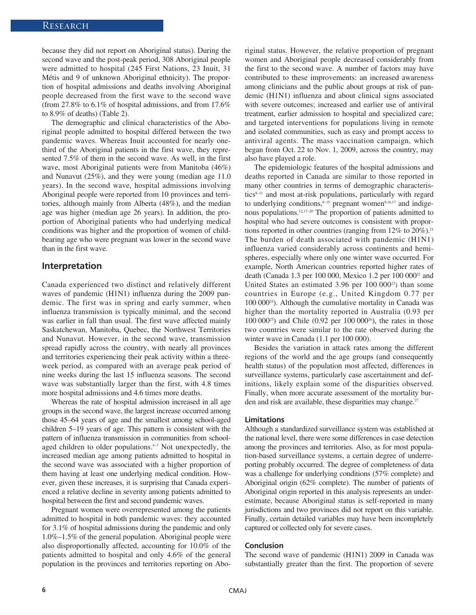because they did not report on Aboriginal status). During the second wave and the post-peak period, 308 Aboriginal people were admitted to hospital (245 First Nations, 23 Inuit, 31 Métis and 9 of unknown Aboriginal ethnicity). The proportion of hospital admissions and deaths involving Aboriginal people decreased from the first wave to the second wave (from 27.8% to  $6.1\%$  of hospital admissions, and from 17.6%) to 8.9% of deaths) (Table 2).

The demographic and clinical characteristics of the Aboriginal people admitted to hospital differed between the two pandemic waves. Whereas Inuit accounted for nearly onethird of the Aboriginal patients in the first wave, they represented 7.5% of them in the second wave. As well, in the first wave, most Aboriginal patients were from Manitoba (46%) and Nunavut (25%), and they were young (median age 11.0 years). In the second wave, hospital admissions involving Aboriginal people were reported from 10 provinces and territories, although mainly from Alberta (48%), and the median age was higher (median age 26 years). In addition, the proportion of Aboriginal patients who had underlying medical conditions was higher and the proportion of women of childbearing age who were pregnant was lower in the second wave than in the first wave.

#### **Interpretation**

Canada experienced two distinct and relatively different waves of pandemic (H1N1) influenza during the 2009 pandemic. The first was in spring and early summer, when influenza transmission is typically minimal, and the second was earlier in fall than usual. The first wave affected mainly Saskatchewan, Manitoba, Quebec, the Northwest Territories and Nunavut. However, in the second wave, transmission spread rapidly across the country, with nearly all provinces and territories experiencing their peak activity within a threeweek period, as compared with an average peak period of nine weeks during the last 15 influenza seasons. The second wave was substantially larger than the first, with 4.8 times more hospital admissions and 4.6 times more deaths.

Whereas the rate of hospital admission increased in all age groups in the second wave, the largest increase occurred among those 45–64 years of age and the smallest among school-aged children 5–19 years of age. This pattern is consistent with the pattern of influenza transmission in communities from schoolaged children to older populations.<sup>4-7</sup> Not unexpectedly, the increased median age among patients admitted to hospital in the second wave was associated with a higher proportion of them having at least one underlying medical condition. However, given these increases, it is surprising that Canada experienced a relative decline in severity among patients admitted to hospital between the first and second pandemic waves.

Pregnant women were overrepresented among the patients admitted to hospital in both pandemic waves: they accounted for 3.1% of hospital admissions during the pandemic and only 1.0%–1.5% of the general population. Aboriginal people were also disproportionally affected, accounting for 10.0% of the patients admitted to hospital and only 4.6% of the general population in the provinces and territories reporting on Aboriginal status. However, the relative proportion of pregnant women and Aboriginal people decreased considerably from the first to the second wave. A number of factors may have contributed to these improvements: an increased awareness among clinicians and the public about groups at risk of pandemic (H1N1) influenza and about clinical signs associated with severe outcomes; increased and earlier use of antiviral treatment, earlier admission to hospital and specialized care; and targeted interventions for populations living in remote and isolated communities, such as easy and prompt access to antiviral agents. The mass vaccination campaign, which began from Oct. 22 to Nov. 1, 2009, across the country, may also have played a role.

The epidemiologic features of the hospital admissions and deaths reported in Canada are similar to those reported in many other countries in terms of demographic characteristics $8-11$  and most at-risk populations, particularly with regard to underlying conditions, $8-15$  pregnant women $9,16,17$  and indigenous populations.12,17–20 The proportion of patients admitted to hospital who had severe outcomes is consistent with proportions reported in other countries (ranging from 12% to 20%).<sup>21</sup> The burden of death associated with pandemic (H1N1) influenza varied considerably across continents and hemispheres, especially where only one winter wave occurred. For example, North American countries reported higher rates of death (Canada 1.3 per 100 000, Mexico 1.2 per 100 000<sup>22</sup> and United States an estimated  $3.96$  per  $100\,000^{23}$  than some countries in Europe (e.g., United Kingdom 0.77 per 100 00024). Although the cumulative mortality in Canada was higher than the mortality reported in Australia (0.93 per 100 000<sup>25</sup>) and Chile (0.92 per 100 000<sup>26</sup>), the rates in those two countries were similar to the rate observed during the winter wave in Canada (1.1 per 100 000).

Besides the variation in attack rates among the different regions of the world and the age groups (and consequently health status) of the population most affected, differences in surveillance systems, particularly case ascertainment and definitions, likely explain some of the disparities observed. Finally, when more accurate assessment of the mortality burden and risk are available, these disparities may change.<sup>27</sup>

#### **Limitations**

Although a standardized surveillance system was established at the national level, there were some differences in case detection among the provinces and territories. Also, as for most population-based surveillance systems, a certain degree of underreporting probably occurred. The degree of completeness of data was a challenge for underlying conditions (57% complete) and Aboriginal origin (62% complete). The number of patients of Aboriginal origin reported in this analysis represents an underestimate, because Aboriginal status is self-reported in many jurisdictions and two provinces did not report on this variable. Finally, certain detailed variables may have been incompletely captured or collected only for severe cases.

#### **Conclusion**

The second wave of pandemic (H1N1) 2009 in Canada was substantially greater than the first. The proportion of severe